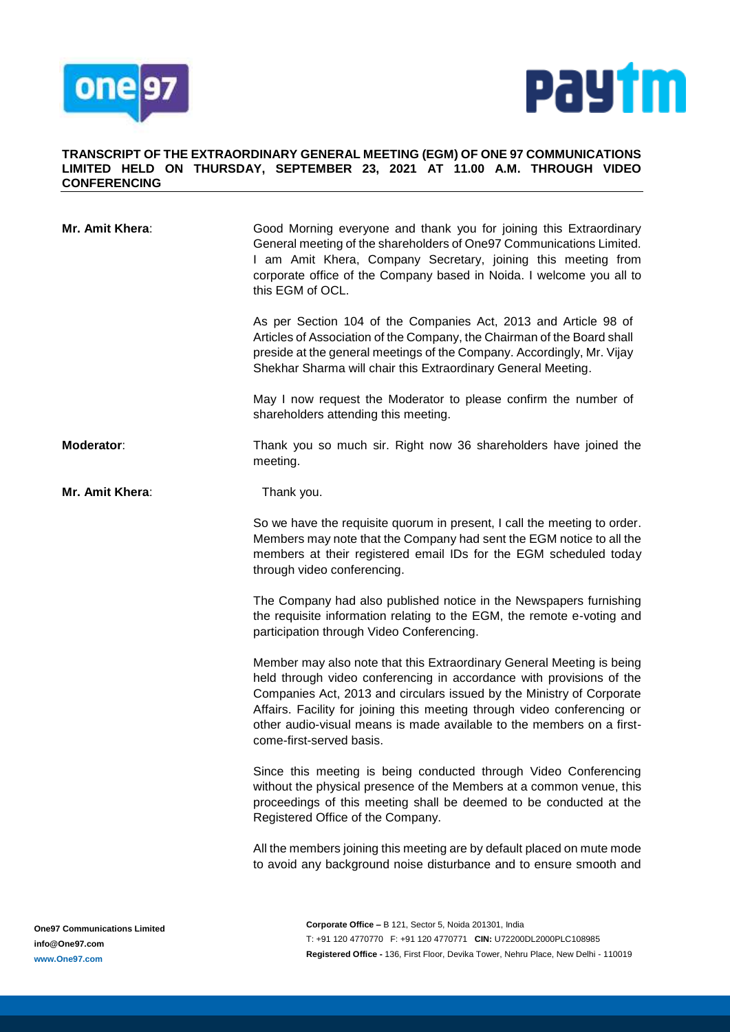



## **TRANSCRIPT OF THE EXTRAORDINARY GENERAL MEETING (EGM) OF ONE 97 COMMUNICATIONS LIMITED HELD ON THURSDAY, SEPTEMBER 23, 2021 AT 11.00 A.M. THROUGH VIDEO CONFERENCING**

| Mr. Amit Khera:        | Good Morning everyone and thank you for joining this Extraordinary<br>General meeting of the shareholders of One97 Communications Limited.<br>I am Amit Khera, Company Secretary, joining this meeting from<br>corporate office of the Company based in Noida. I welcome you all to<br>this EGM of OCL.                                                                                                 |
|------------------------|---------------------------------------------------------------------------------------------------------------------------------------------------------------------------------------------------------------------------------------------------------------------------------------------------------------------------------------------------------------------------------------------------------|
|                        | As per Section 104 of the Companies Act, 2013 and Article 98 of<br>Articles of Association of the Company, the Chairman of the Board shall<br>preside at the general meetings of the Company. Accordingly, Mr. Vijay<br>Shekhar Sharma will chair this Extraordinary General Meeting.                                                                                                                   |
|                        | May I now request the Moderator to please confirm the number of<br>shareholders attending this meeting.                                                                                                                                                                                                                                                                                                 |
| Moderator:             | Thank you so much sir. Right now 36 shareholders have joined the<br>meeting.                                                                                                                                                                                                                                                                                                                            |
| <b>Mr. Amit Khera:</b> | Thank you.                                                                                                                                                                                                                                                                                                                                                                                              |
|                        | So we have the requisite quorum in present, I call the meeting to order.<br>Members may note that the Company had sent the EGM notice to all the<br>members at their registered email IDs for the EGM scheduled today<br>through video conferencing.                                                                                                                                                    |
|                        | The Company had also published notice in the Newspapers furnishing<br>the requisite information relating to the EGM, the remote e-voting and<br>participation through Video Conferencing.                                                                                                                                                                                                               |
|                        | Member may also note that this Extraordinary General Meeting is being<br>held through video conferencing in accordance with provisions of the<br>Companies Act, 2013 and circulars issued by the Ministry of Corporate<br>Affairs. Facility for joining this meeting through video conferencing or<br>other audio-visual means is made available to the members on a first-<br>come-first-served basis. |
|                        | Since this meeting is being conducted through Video Conferencing<br>without the physical presence of the Members at a common venue, this<br>proceedings of this meeting shall be deemed to be conducted at the<br>Registered Office of the Company.                                                                                                                                                     |
|                        | All the members joining this meeting are by default placed on mute mode<br>to avoid any background noise disturbance and to ensure smooth and                                                                                                                                                                                                                                                           |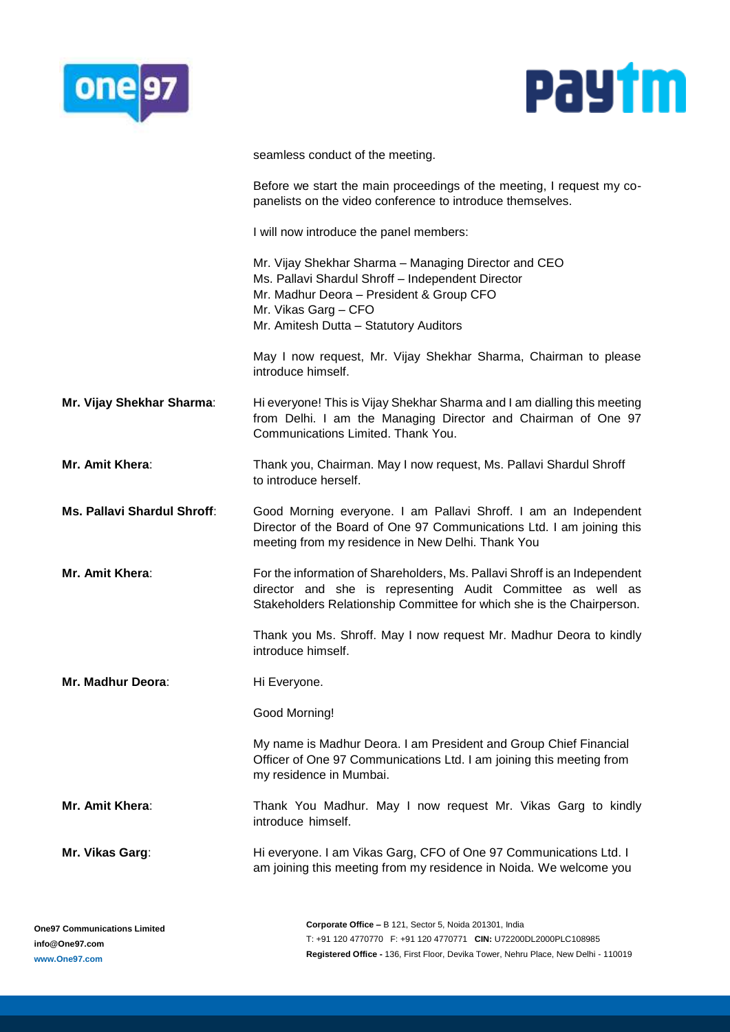



seamless conduct of the meeting.

Before we start the main proceedings of the meeting, I request my copanelists on the video conference to introduce themselves.

I will now introduce the panel members:

Mr. Vijay Shekhar Sharma – Managing Director and CEO Ms. Pallavi Shardul Shroff – Independent Director Mr. Madhur Deora – President & Group CFO Mr. Vikas Garg – CFO Mr. Amitesh Dutta – Statutory Auditors

May I now request, Mr. Vijay Shekhar Sharma, Chairman to please introduce himself.

**Mr. Vijay Shekhar Sharma:** Hi everyone! This is Vijay Shekhar Sharma and I am dialling this meeting from Delhi. I am the Managing Director and Chairman of One 97 Communications Limited. Thank You.

**Mr. Amit Khera**: Thank you, Chairman. May I now request, Ms. Pallavi Shardul Shroff to introduce herself.

**Ms. Pallavi Shardul Shroff**: Good Morning everyone. I am Pallavi Shroff. I am an Independent Director of the Board of One 97 Communications Ltd. I am joining this meeting from my residence in New Delhi. Thank You

**Mr. Amit Khera**: For the information of Shareholders, Ms. Pallavi Shroff is an Independent director and she is representing Audit Committee as well as Stakeholders Relationship Committee for which she is the Chairperson.

> Thank you Ms. Shroff. May I now request Mr. Madhur Deora to kindly introduce himself.

**Mr. Madhur Deora:** Hi Everyone.

Good Morning!

My name is Madhur Deora. I am President and Group Chief Financial Officer of One 97 Communications Ltd. I am joining this meeting from my residence in Mumbai.

**Mr. Amit Khera**: Thank You Madhur. May I now request Mr. Vikas Garg to kindly introduce himself.

**Mr. Vikas Garg**: Hi everyone. I am Vikas Garg, CFO of One 97 Communications Ltd. I am joining this meeting from my residence in Noida. We welcome you

**Corporate Office –** B 121, Sector 5, Noida 201301, India T: +91 120 4770770 F: +91 120 4770771 **CIN:** U72200DL2000PLC108985 **Registered Office -** 136, First Floor, Devika Tower, Nehru Place, New Delhi - 110019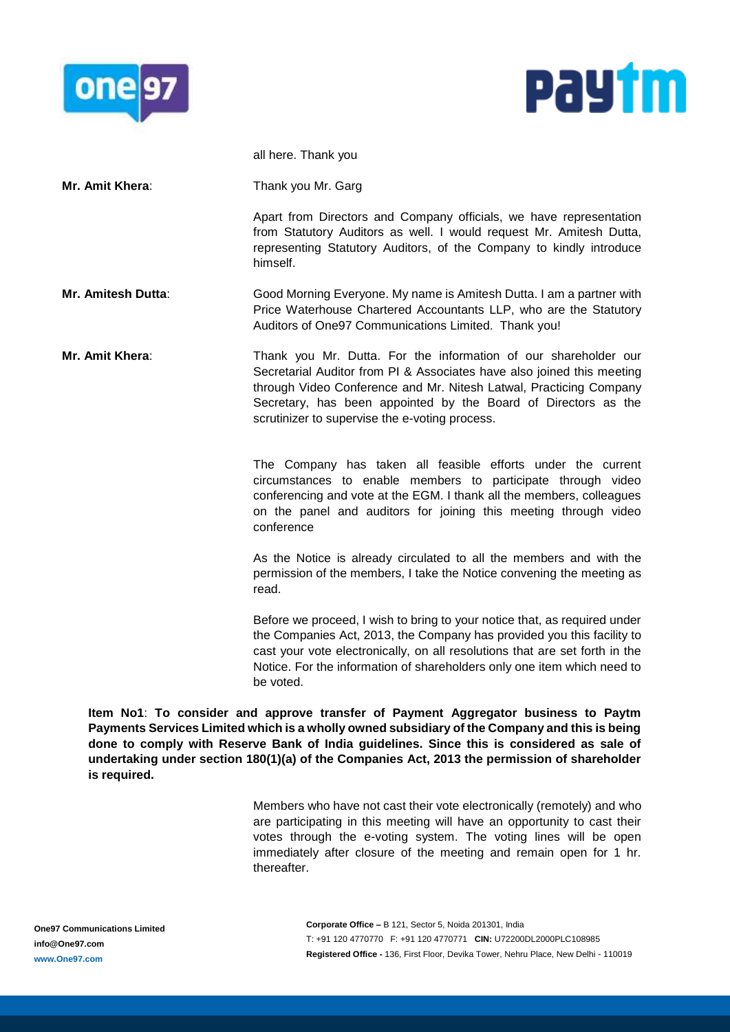



|                    | all here. Thank you                                                                                                                                                                                                                                                                                                                 |
|--------------------|-------------------------------------------------------------------------------------------------------------------------------------------------------------------------------------------------------------------------------------------------------------------------------------------------------------------------------------|
| Mr. Amit Khera:    | Thank you Mr. Garg                                                                                                                                                                                                                                                                                                                  |
|                    | Apart from Directors and Company officials, we have representation<br>from Statutory Auditors as well. I would request Mr. Amitesh Dutta,<br>representing Statutory Auditors, of the Company to kindly introduce<br>himself.                                                                                                        |
| Mr. Amitesh Dutta: | Good Morning Everyone. My name is Amitesh Dutta. I am a partner with<br>Price Waterhouse Chartered Accountants LLP, who are the Statutory<br>Auditors of One97 Communications Limited. Thank you!                                                                                                                                   |
| Mr. Amit Khera:    | Thank you Mr. Dutta. For the information of our shareholder our<br>Secretarial Auditor from PI & Associates have also joined this meeting<br>through Video Conference and Mr. Nitesh Latwal, Practicing Company<br>Secretary, has been appointed by the Board of Directors as the<br>scrutinizer to supervise the e-voting process. |
|                    | The Company has taken all feasible efforts under the current<br>circumstances to enable members to participate through video<br>conferencing and vote at the EGM. I thank all the members, colleagues<br>on the panel and auditors for joining this meeting through video<br>conference                                             |
|                    | As the Notice is already circulated to all the members and with the<br>permission of the members, I take the Notice convening the meeting as<br>read.                                                                                                                                                                               |
|                    | Before we proceed, I wish to bring to your notice that, as required under<br>the Companies Act, 2013, the Company has provided you this facility to<br>cast your vote electronically, on all resolutions that are set forth in the<br>Notice. For the information of shareholders only one item which need to<br>be voted.          |

**Item No1**: **To consider and approve transfer of Payment Aggregator business to Paytm Payments Services Limited which is a wholly owned subsidiary of the Company and this is being done to comply with Reserve Bank of India guidelines. Since this is considered as sale of undertaking under section 180(1)(a) of the Companies Act, 2013 the permission of shareholder is required.**

> Members who have not cast their vote electronically (remotely) and who are participating in this meeting will have an opportunity to cast their votes through the e-voting system. The voting lines will be open immediately after closure of the meeting and remain open for 1 hr. thereafter.